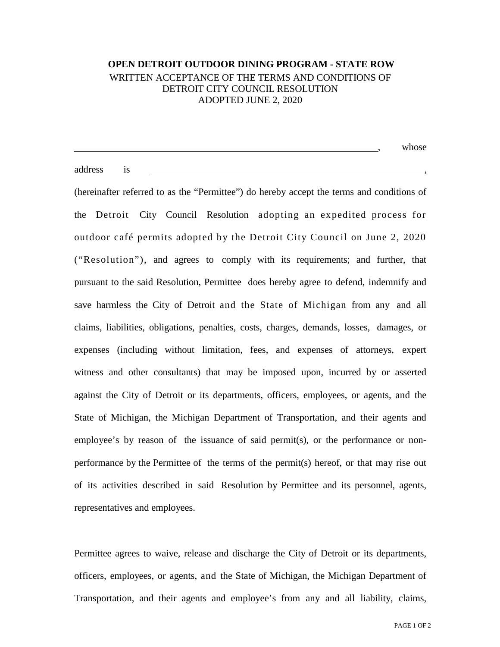## **OPEN DETROIT OUTDOOR DINING PROGRAM - STATE ROW** WRITTEN ACCEPTANCE OF THE TERMS AND CONDITIONS OF DETROIT CITY COUNCIL RESOLUTION ADOPTED JUNE 2, 2020

|         |           | whose |
|---------|-----------|-------|
|         |           |       |
| address | <b>1S</b> |       |

(hereinafter referred to as the "Permittee") do hereby accept the terms and conditions of the Detroit City Council Resolution adopting an expedited process for outdoor café permits adopted by the Detroit City Council on June 2, 2020 ("Resolution"), and agrees to comply with its requirements; and further, that pursuant to the said Resolution, Permittee does hereby agree to defend, indemnify and save harmless the City of Detroit and the State of Michigan from any and all claims, liabilities, obligations, penalties, costs, charges, demands, losses, damages, or expenses (including without limitation, fees, and expenses of attorneys, expert witness and other consultants) that may be imposed upon, incurred by or asserted against the City of Detroit or its departments, officers, employees, or agents, and the State of Michigan, the Michigan Department of Transportation, and their agents and employee's by reason of the issuance of said permit(s), or the performance or nonperformance by the Permittee of the terms of the permit(s) hereof, or that may rise out of its activities described in said Resolution by Permittee and its personnel, agents, representatives and employees.

Permittee agrees to waive, release and discharge the City of Detroit or its departments, officers, employees, or agents, and the State of Michigan, the Michigan Department of Transportation, and their agents and employee's from any and all liability, claims,